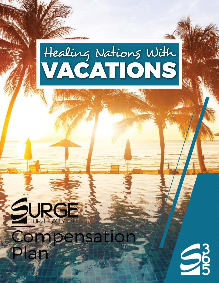# Healing Nations With VACATIONS



Plan Silver

Compensatio

WIS LAND MARCHAND

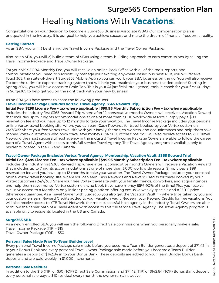### Surge365 Compensation Plan

# Healing **Nations** With **Vacations**!

Congratulations on your decision to become a Surge365 Business Associate (SBA). Our compensation plan is unequaled in the industry. It is our goal to help you achieve success and make the dream of financial freedom a reality.

### **Getting Started**

As an SBA, you will 1) be sharing the Travel Income Package and the Travel Owner Package.

Also, as an SBA, you will 2) build a team of SBAs using a team-building approach to earn commissions by selling the Travel Income Package and Travel Owner Package.

For your \$19.95 SBA Monthly Fee, you will receive an online Back Office with all of the tools, reports, and communications you need to successfully manage your exciting anywhere-based business! Plus, you will receive Touch365, the state-of-the-art Surge365 Mobile App so you can work your SBA business on the go. You will also receive Taxbot, the ultimate expense tracking system that will help you maximize your business tax deductions! Starting in Spring 2020, you will have access to Brain Tap! This is your AI (artificial intelligence) mobile coach for your first 60 days in Surge365 to help get you on the right track with your new business!

As an SBA you have access to share the following products:

### **Travel Income Package (Includes Vortex, Travel Agency, S365 Reward Trip)**

**Initial Fee: \$299 License Fee + tax where applicable | \$99.95 Monthly Subscription Fee + tax where applicable**  Includes the industry first S365 Reward Trip where after 12 consecutive months Owners will receive a Vacation Reward that includes up to 7 nights accommodations at one of more than 3,000 worldwide resorts. Simply pay a \$99 reservation fee and you have up to 12 months to take your vacation. The Travel Income Package includes your personal online Vortex travel booking site, where you can earn Cash Rewards for travel booked by your Vortex customers 24/7/365! Share your free Vortex travel site with your family, friends, co-workers, and acquaintances and help them save money. Vortex customers who book travel save money 85%-90% of the time! You will also receive access to YTB Travel Network, the most successful host agency in the industry! Travel Income Package Owners are able to follow the career path of a Travel Agent with access to this full service Travel Agency. The Travel Agency program is available only to residents located in the US and Canada.

### **Travel Owner Package (Includes Vortex, Travel Agency, Membership, Vacation Vault, S365 Reward Trip)**

**Initial Fee: \$499 License Fee + tax where applicable | \$99.95 Monthly Subscription Fee + tax where applicable**  Includes the industry first S365 Reward Trip where after 12 consecutive months Owners will receive a Vacation Reward that includes up to 7 nights accommodations at one of more than 3,000 worldwide resorts. Simply pay a \$99 reservation fee and you have up to 12 months to take your vacation. The Travel Owner Package includes your personal online Vortex travel booking site, where you can earn Cash Rewards and Reward Credits for travel booked by your Vortex customers 24/7/365! Share your free Vortex travel site with your family, friends, co-workers, and acquaintances and help them save money. Vortex customers who book travel save money 85%-90% of the time! Plus you receive exclusive access to a Members-only insider pricing platform offering exclusive weekly specials and a 150% price difference guarantee. As a Travel Owner with Surge365 you also get the Vacation Vault™ - where trips taken by you and your customers earn Reward Credits added to your Vacation Vault. Redeem your Reward Credits for free vacations! You will also receive access to YTB Travel Network, the most successful host agency in the industry! Travel Owners are able to follow the career path of a Travel Agent with access to this full service Travel Agency. The Travel Agency program is available only to residents located in the US and Canada.

### **Surge365 SBA**

As a newly enrolled SBA, you will earn the following Direct Sale commissions when you personally make a sale: Travel Income Package (TIP) - \$15 Travel Owner Package (TOP) - \$30

### **Personal Sales Made Prior To Team Builder Level**

Every personal Travel Income Package sale made before you become a Team Builder generates a deposit of \$71.42 in to your Bonus Bank and every personal Travel Owner Package sale made before you become a Team Builder generates a deposit of \$142.84 in to your Bonus Bank. These deposits are added to your Team Builder Bonus Bank deposits and are paid weekly in \$1,000 increments.

### **Personal Sale Residual**

In addition to the \$15 (TIP) or \$30 (TOP) Direct Sale Commission and \$71.42 (TIP) or \$142.84 (TOP) Bonus Bank deposit, every personal sale pays a \$10 residual every month the owner remains active.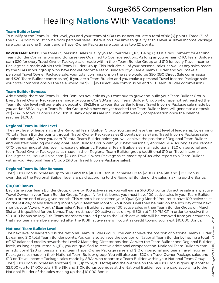### Surge365 Compensation Plan

### Healing **Nations** With **Vacations**!

#### **Team Builder Level**

To qualify at the Team Builder level, you and your team of SBAs must accumulate a total of six (6) points. Three (3) of the six (6) points must come from personal sales. There is no time limit to qualify at this level. A Travel Income Package sale counts as one (1) point and a Travel Owner Package sale counts as two (2) points.

**IMPORTANT NOTE:** The three (3) personal sales qualify you to Override (QTO). Being QTO is a requirement for earning Team Builder Commissions and Bonuses (see Qualified to Override section). As long as you remain QTO, Team Builders earn \$20 for every Travel Owner Package sale made within their Team Builder Group and \$10 for every Travel Income Package sale made within their Team Builder Group. This includes all of your personal sales, as well as any sales made by the SBAs in your group who have not yet become Team Builders. If you are a Team Builder and you make a personal Travel Owner Package sale, your total commissions on the sale would be \$50 (\$30 Direct Sale commission and \$20 Team Builder commission). If you are a Team Builder and you make a personal Travel Income Package sale, your total commissions on the sale would be \$25 (\$15 Direct Sale commission and \$10 Team Builder commission).

#### **Team Builder Bonuses**

Additionally, there are Team Builder Bonuses available as you continue to grow and build your Team Builder Group. Every Travel Owner Package sale made by you and/or SBAs in your Team Builder Group who have not yet reached the Team Builder level will generate a deposit of \$142.84 into your Bonus Bank. Every Travel Income Package sale made by you and/or SBAs in your Team Builder Group who have not yet reached the Team Builder level will generate a deposit of \$71.42 in to your Bonus Bank. Bonus Bank deposits are included with weekly compensation once the balance reaches \$1,000.

#### **Regional Team Builder Level**

The next level of leadership is the Regional Team Builder Group. You can achieve this next level of leadership by earning 70 total Team Builder points through Travel Owner Package sales (2 points per sale) and Travel Income Package sales (1 point per sale). Once you earn 70 total Team Builder points you will achieve the position of Regional Team Builder and will start building your Regional Team Builder Group with your next personally enrolled SBA. As long as you remain QTO, the earnings at this level increase significantly. Regional Team Builders earn an additional \$20 on personal and team Travel Owner Package sales made in their Regional Team Builder group (additional \$10 on Travel Income Package sales). You will also earn \$20 on Travel Owner Package sales made by SBAs who report to a Team Builder within your Regional Team Group (\$10 on Travel Income Package sales).

### **Regional Team Builder Bonuses**

The \$1,000 Bonus increases up to \$100 and the \$10,000 Bonus increases up to \$2,000! The \$1K and \$10K Bonus overrides at the Regional Builder level are paid according to the Regional Builder of the sales making up the Bonus.

### **\$10,000 Bonus**

Each time your Team Builder Group grows by 100 active sales, you will earn a \$10,000 bonus. An active sale is any active Travel Owner in your Team Builder Group. To qualify for this bonus you must have 100 active sales in your Team Builder Group at the end of any given month. This month is considered your "Qualifying Month." You must have 100 active sales on the last day of any following month, your "Maintain Month." Your bonus will then be paid on the 11th day of the next month, your "Award Month." Example: A Team Builder achieves 100 active sales in their Team Builder Group on March 31st and is qualified for the bonus. They must have 100 active sales on April 30th at 11:59 PM CT in order to receive the \$10,000 bonus on May 11th. Team members enrolled prior to the 100th active sale will be removed from your count so that new team members enrolled after the 100th active sale will count as credit toward your next \$10,000 Bonus.

#### **National Team Builder Level**

The next level of leadership is the National Team Builder Group. You can achieve the position of National Team Builder by earning 210 total Team Builder points. You can also achieve the position of National Team Builder by having a total of 167 balanced credits towards the Level 2 Marketing Director position. As with the Team Builder and Regional Builder levels, as long as you remain QTO, you are qualified to receive additional compensation. National Team Builders earn an additional \$20 on personal and team Travel Owner Package sales and \$10 on personal and team Travel Income Package sales made in their National Team Builder group. You will also earn \$20 on Travel Owner Package sales and \$10 on Travel Income Package sales made by SBAs who report to a Team Builder within your National Team Group. The \$1,000 Bonus increases another \$100 (up to \$1,200 total) and the override on the \$10,000 Bonus goes up another \$2,000 (up to \$4,000 total)! The \$1K and \$10K Bonus overrides at the National Builder level are paid according to the National Builder of the sales making up the \$10,000 Bonus.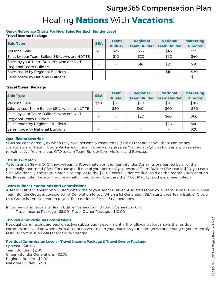# Surge365 Compensation Plan Healing **Nations** With **Vacations**!

### **Quick Reference Charts For New Sales For Each Builder Level**

### **Travel Income Package**

| <b>Sale Type</b>                               | <b>SBA</b> | <b>Team</b>    | <b>Regional</b>     | <b>National</b>     | <b>Marketing</b> |
|------------------------------------------------|------------|----------------|---------------------|---------------------|------------------|
|                                                |            | <b>Builder</b> | <b>Team Builder</b> | <b>Team Builder</b> | <b>Director</b>  |
| Personal Sale                                  | \$15       | \$25           | \$35                | \$45                | \$55             |
| Sales by your Team Builder SBAs who are NOT TB |            | \$10           | \$20                | \$30                | \$40             |
| Sales by your Team Builder's who are NOT       |            |                | \$10                | \$20                | \$30             |
| Regional Team Builders                         |            |                |                     |                     |                  |
| Sales made by Regional Builder's               |            |                |                     | \$10                | \$20             |
| Sales made by National Builder's               |            |                |                     |                     | \$10             |

### **Travel Owner Package**

| <b>Sale Type</b>                               | <b>SBA</b>               | <b>Team</b>    | <b>Regional</b>     | <b>National</b>     | <b>Marketing</b> |
|------------------------------------------------|--------------------------|----------------|---------------------|---------------------|------------------|
|                                                |                          | <b>Builder</b> | <b>Team Builder</b> | <b>Team Builder</b> | <b>Director</b>  |
| Personal Sale                                  | \$30                     | \$50           | \$70                | \$90                | \$110            |
| Sales by your Team Builder SBAs who are NOT TB | $\overline{\phantom{a}}$ | \$20           | \$40                | \$60                | \$80             |
| Sales by your Team Builder's who are NOT       |                          |                | \$20                | \$40                | \$60             |
| Regional Team Builders                         |                          |                |                     |                     |                  |
| Sales made by Regional Builder's               |                          |                |                     | \$20                | \$40             |
| Sales made by National Builder's               |                          |                |                     |                     | \$20             |

### **Qualified to Override**

SBAs are considered QTO when they have personally made three (3) sales that are active. These can be any combination of Travel Income Package or Travel Owner Package sales. You remain QTO as long as any three sales remain active. You must be QTO to earn Team Builder Commissions and Bonuses.

### **The 100% Match**

As long as an SBA is QTO, they will earn a 100% match on the Team Builder Commissions earned by all of their personally sponsored SBAs. For example, if one of your personally sponsored Team Builder SBAs earns \$20, you earn \$20! Additionally, the 100% Match also applies to the \$2.00 Team Builder residual paid on the monthly subscription fee. (Please note: There will not be a match paid on any Bonuses, the 100% Match, or others where noted.)

### **Team Builder Generations and Commissions**

A Team Builder Generation will start when one of your Team Builder SBAs starts their own Team Builder Group. Their Team Builder Group is considered 1st Generation to you. When a 1st Generation SBA starts their Team Builder Group, that Group is 2nd Generation to you. This continues for six (6) Generations.

Initial fee commissions on Team Builder Generation 1 through Generation 6 is: Travel Income Package - \$5.00 | Travel Owner Package - \$10.00

### **The Power of Residual Commissions**

Residual commissions are paid on active subscriptions each month. The following chart shows the residual commission based on where the subscription was sold in your team. As your team grows and changes, your monthly residual commission will reflect those changes.

### **Residual Commission Levels - Travel Income Package & Travel Owner Package**

Sponsor - \$10.00 Team Builder - \$2.00 6 Team Builder Generations - \$2.00 Regional Builder - \$2.00 National Builder - \$2.00